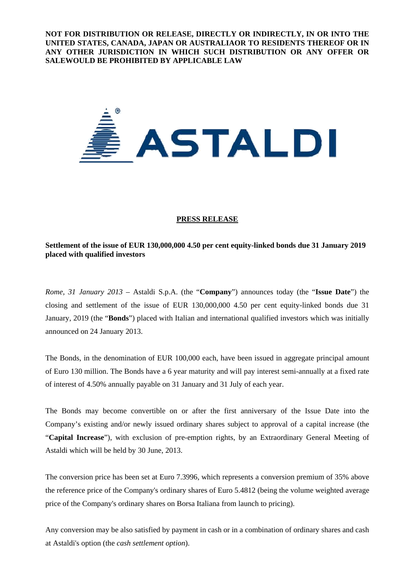**NOT FOR DISTRIBUTION OR RELEASE, DIRECTLY OR INDIRECTLY, IN OR INTO THE UNITED STATES, CANADA, JAPAN OR AUSTRALIAOR TO RESIDENTS THEREOF OR IN ANY OTHER JURISDICTION IN WHICH SUCH DISTRIBUTION OR ANY OFFER OR SALEWOULD BE PROHIBITED BY APPLICABLE LAW** 



### **PRESS RELEASE**

# **Settlement of the issue of EUR 130,000,000 4.50 per cent equity-linked bonds due 31 January 2019 placed with qualified investors**

*Rome, 31 January 2013* – Astaldi S.p.A. (the "**Company**") announces today (the "**Issue Date**") the closing and settlement of the issue of EUR 130,000,000 4.50 per cent equity-linked bonds due 31 January, 2019 (the "**Bonds**") placed with Italian and international qualified investors which was initially announced on 24 January 2013.

The Bonds, in the denomination of EUR 100,000 each, have been issued in aggregate principal amount of Euro 130 million. The Bonds have a 6 year maturity and will pay interest semi-annually at a fixed rate of interest of 4.50% annually payable on 31 January and 31 July of each year.

The Bonds may become convertible on or after the first anniversary of the Issue Date into the Company's existing and/or newly issued ordinary shares subject to approval of a capital increase (the "**Capital Increase**"), with exclusion of pre-emption rights, by an Extraordinary General Meeting of Astaldi which will be held by 30 June, 2013.

The conversion price has been set at Euro 7.3996, which represents a conversion premium of 35% above the reference price of the Company's ordinary shares of Euro 5.4812 (being the volume weighted average price of the Company's ordinary shares on Borsa Italiana from launch to pricing).

Any conversion may be also satisfied by payment in cash or in a combination of ordinary shares and cash at Astaldi's option (the *cash settlement option*).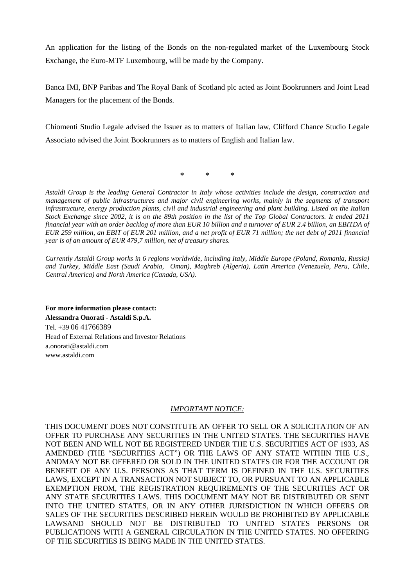An application for the listing of the Bonds on the non-regulated market of the Luxembourg Stock Exchange, the Euro-MTF Luxembourg, will be made by the Company.

Banca IMI, BNP Paribas and The Royal Bank of Scotland plc acted as Joint Bookrunners and Joint Lead Managers for the placement of the Bonds.

Chiomenti Studio Legale advised the Issuer as to matters of Italian law, Clifford Chance Studio Legale Associato advised the Joint Bookrunners as to matters of English and Italian law.

**\* \* \*** 

*Astaldi Group is the leading General Contractor in Italy whose activities include the design, construction and management of public infrastructures and major civil engineering works, mainly in the segments of transport infrastructure, energy production plants, civil and industrial engineering and plant building. Listed on the Italian Stock Exchange since 2002, it is on the 89th position in the list of the Top Global Contractors. It ended 2011 financial year with an order backlog of more than EUR 10 billion and a turnover of EUR 2.4 billion, an EBITDA of EUR 259 million, an EBIT of EUR 201 million, and a net profit of EUR 71 million; the net debt of 2011 financial year is of an amount of EUR 479,7 million, net of treasury shares.* 

*Currently Astaldi Group works in 6 regions worldwide, including Italy, Middle Europe (Poland, Romania, Russia) and Turkey, Middle East (Saudi Arabia, Oman), Maghreb (Algeria), Latin America (Venezuela, Peru, Chile, Central America) and North America (Canada, USA).*

**For more information please contact: Alessandra Onorati - Astaldi S.p.A.**  Tel. +39 06 41766389 Head of External Relations and Investor Relations a.onorati@astaldi.com www.astaldi.com

## *IMPORTANT NOTICE:*

THIS DOCUMENT DOES NOT CONSTITUTE AN OFFER TO SELL OR A SOLICITATION OF AN OFFER TO PURCHASE ANY SECURITIES IN THE UNITED STATES. THE SECURITIES HAVE NOT BEEN AND WILL NOT BE REGISTERED UNDER THE U.S. SECURITIES ACT OF 1933, AS AMENDED (THE "SECURITIES ACT") OR THE LAWS OF ANY STATE WITHIN THE U.S., ANDMAY NOT BE OFFERED OR SOLD IN THE UNITED STATES OR FOR THE ACCOUNT OR BENEFIT OF ANY U.S. PERSONS AS THAT TERM IS DEFINED IN THE U.S. SECURITIES LAWS, EXCEPT IN A TRANSACTION NOT SUBJECT TO, OR PURSUANT TO AN APPLICABLE EXEMPTION FROM, THE REGISTRATION REQUIREMENTS OF THE SECURITIES ACT OR ANY STATE SECURITIES LAWS. THIS DOCUMENT MAY NOT BE DISTRIBUTED OR SENT INTO THE UNITED STATES, OR IN ANY OTHER JURISDICTION IN WHICH OFFERS OR SALES OF THE SECURITIES DESCRIBED HEREIN WOULD BE PROHIBITED BY APPLICABLE LAWSAND SHOULD NOT BE DISTRIBUTED TO UNITED STATES PERSONS OR PUBLICATIONS WITH A GENERAL CIRCULATION IN THE UNITED STATES. NO OFFERING OF THE SECURITIES IS BEING MADE IN THE UNITED STATES.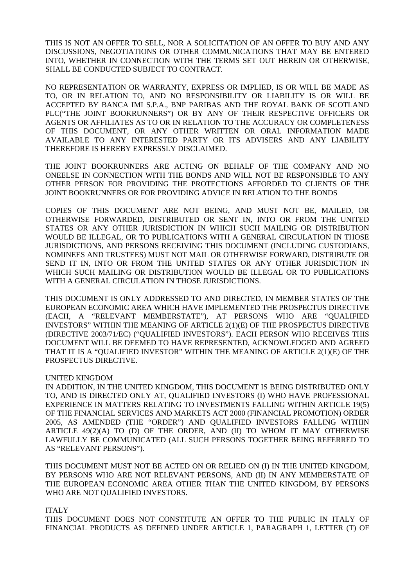THIS IS NOT AN OFFER TO SELL, NOR A SOLICITATION OF AN OFFER TO BUY AND ANY DISCUSSIONS, NEGOTIATIONS OR OTHER COMMUNICATIONS THAT MAY BE ENTERED INTO, WHETHER IN CONNECTION WITH THE TERMS SET OUT HEREIN OR OTHERWISE, SHALL BE CONDUCTED SUBJECT TO CONTRACT.

NO REPRESENTATION OR WARRANTY, EXPRESS OR IMPLIED, IS OR WILL BE MADE AS TO, OR IN RELATION TO, AND NO RESPONSIBILITY OR LIABILITY IS OR WILL BE ACCEPTED BY BANCA IMI S.P.A., BNP PARIBAS AND THE ROYAL BANK OF SCOTLAND PLC("THE JOINT BOOKRUNNERS") OR BY ANY OF THEIR RESPECTIVE OFFICERS OR AGENTS OR AFFILIATES AS TO OR IN RELATION TO THE ACCURACY OR COMPLETENESS OF THIS DOCUMENT, OR ANY OTHER WRITTEN OR ORAL INFORMATION MADE AVAILABLE TO ANY INTERESTED PARTY OR ITS ADVISERS AND ANY LIABILITY THEREFORE IS HEREBY EXPRESSLY DISCLAIMED.

THE JOINT BOOKRUNNERS ARE ACTING ON BEHALF OF THE COMPANY AND NO ONEELSE IN CONNECTION WITH THE BONDS AND WILL NOT BE RESPONSIBLE TO ANY OTHER PERSON FOR PROVIDING THE PROTECTIONS AFFORDED TO CLIENTS OF THE JOINT BOOKRUNNERS OR FOR PROVIDING ADVICE IN RELATION TO THE BONDS

COPIES OF THIS DOCUMENT ARE NOT BEING, AND MUST NOT BE, MAILED, OR OTHERWISE FORWARDED, DISTRIBUTED OR SENT IN, INTO OR FROM THE UNITED STATES OR ANY OTHER JURISDICTION IN WHICH SUCH MAILING OR DISTRIBUTION WOULD BE ILLEGAL, OR TO PUBLICATIONS WITH A GENERAL CIRCULATION IN THOSE JURISDICTIONS, AND PERSONS RECEIVING THIS DOCUMENT (INCLUDING CUSTODIANS, NOMINEES AND TRUSTEES) MUST NOT MAIL OR OTHERWISE FORWARD, DISTRIBUTE OR SEND IT IN, INTO OR FROM THE UNITED STATES OR ANY OTHER JURISDICTION IN WHICH SUCH MAILING OR DISTRIBUTION WOULD BE ILLEGAL OR TO PUBLICATIONS WITH A GENERAL CIRCULATION IN THOSE JURISDICTIONS.

THIS DOCUMENT IS ONLY ADDRESSED TO AND DIRECTED, IN MEMBER STATES OF THE EUROPEAN ECONOMIC AREA WHICH HAVE IMPLEMENTED THE PROSPECTUS DIRECTIVE (EACH, A "RELEVANT MEMBERSTATE"), AT PERSONS WHO ARE "QUALIFIED INVESTORS" WITHIN THE MEANING OF ARTICLE 2(1)(E) OF THE PROSPECTUS DIRECTIVE (DIRECTIVE 2003/71/EC) ("QUALIFIED INVESTORS"). EACH PERSON WHO RECEIVES THIS DOCUMENT WILL BE DEEMED TO HAVE REPRESENTED, ACKNOWLEDGED AND AGREED THAT IT IS A "QUALIFIED INVESTOR" WITHIN THE MEANING OF ARTICLE 2(1)(E) OF THE PROSPECTUS DIRECTIVE.

## UNITED KINGDOM

IN ADDITION, IN THE UNITED KINGDOM, THIS DOCUMENT IS BEING DISTRIBUTED ONLY TO, AND IS DIRECTED ONLY AT, QUALIFIED INVESTORS (I) WHO HAVE PROFESSIONAL EXPERIENCE IN MATTERS RELATING TO INVESTMENTS FALLING WITHIN ARTICLE 19(5) OF THE FINANCIAL SERVICES AND MARKETS ACT 2000 (FINANCIAL PROMOTION) ORDER 2005, AS AMENDED (THE "ORDER") AND QUALIFIED INVESTORS FALLING WITHIN ARTICLE 49(2)(A) TO (D) OF THE ORDER, AND (II) TO WHOM IT MAY OTHERWISE LAWFULLY BE COMMUNICATED (ALL SUCH PERSONS TOGETHER BEING REFERRED TO AS "RELEVANT PERSONS").

THIS DOCUMENT MUST NOT BE ACTED ON OR RELIED ON (I) IN THE UNITED KINGDOM, BY PERSONS WHO ARE NOT RELEVANT PERSONS, AND (II) IN ANY MEMBERSTATE OF THE EUROPEAN ECONOMIC AREA OTHER THAN THE UNITED KINGDOM, BY PERSONS WHO ARE NOT QUALIFIED INVESTORS.

## ITALY

THIS DOCUMENT DOES NOT CONSTITUTE AN OFFER TO THE PUBLIC IN ITALY OF FINANCIAL PRODUCTS AS DEFINED UNDER ARTICLE 1, PARAGRAPH 1, LETTER (T) OF